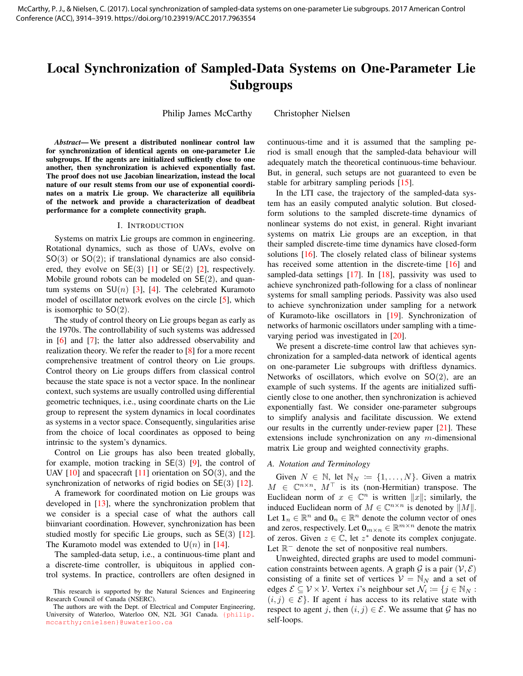# <span id="page-0-0"></span>Local Synchronization of Sampled-Data Systems on One-Parameter Lie Subgroups

Philip James McCarthy Christopher Nielsen

*Abstract*— We present a distributed nonlinear control law for synchronization of identical agents on one-parameter Lie subgroups. If the agents are initialized sufficiently close to one another, then synchronization is achieved exponentially fast. The proof does not use Jacobian linearization, instead the local nature of our result stems from our use of exponential coordinates on a matrix Lie group. We characterize all equilibria of the network and provide a characterization of deadbeat performance for a complete connectivity graph.

#### I. INTRODUCTION

Systems on matrix Lie groups are common in engineering. Rotational dynamics, such as those of UAVs, evolve on  $SO(3)$  or  $SO(2)$ ; if translational dynamics are also considered, they evolve on  $SE(3)$  [\[1\]](#page-5-0) or  $SE(2)$  [\[2\]](#page-5-1), respectively. Mobile ground robots can be modeled on  $SE(2)$ , and quantum systems on  $SU(n)$  [\[3\]](#page-5-2), [\[4\]](#page-5-3). The celebrated Kuramoto model of oscillator network evolves on the circle [\[5\]](#page-5-4), which is isomorphic to  $SO(2)$ .

The study of control theory on Lie groups began as early as the 1970s. The controllability of such systems was addressed in [\[6\]](#page-5-5) and [\[7\]](#page-5-6); the latter also addressed observability and realization theory. We refer the reader to [\[8\]](#page-5-7) for a more recent comprehensive treatment of control theory on Lie groups. Control theory on Lie groups differs from classical control because the state space is not a vector space. In the nonlinear context, such systems are usually controlled using differential geometric techniques, i.e., using coordinate charts on the Lie group to represent the system dynamics in local coordinates as systems in a vector space. Consequently, singularities arise from the choice of local coordinates as opposed to being intrinsic to the system's dynamics.

Control on Lie groups has also been treated globally, for example, motion tracking in  $\mathsf{SE}(3)$  [\[9\]](#page-5-8), the control of UAV  $[10]$  and spacecraft  $[11]$  orientation on SO(3), and the synchronization of networks of rigid bodies on SE(3) [\[12\]](#page-5-11).

A framework for coordinated motion on Lie groups was developed in [\[13\]](#page-5-12), where the synchronization problem that we consider is a special case of what the authors call biinvariant coordination. However, synchronization has been studied mostly for specific Lie groups, such as SE(3) [\[12\]](#page-5-11). The Kuramoto model was extended to  $U(n)$  in [\[14\]](#page-5-13).

The sampled-data setup, i.e., a continuous-time plant and a discrete-time controller, is ubiquitous in applied control systems. In practice, controllers are often designed in continuous-time and it is assumed that the sampling period is small enough that the sampled-data behaviour will adequately match the theoretical continuous-time behaviour. But, in general, such setups are not guaranteed to even be stable for arbitrary sampling periods [\[15\]](#page-5-14).

In the LTI case, the trajectory of the sampled-data system has an easily computed analytic solution. But closedform solutions to the sampled discrete-time dynamics of nonlinear systems do not exist, in general. Right invariant systems on matrix Lie groups are an exception, in that their sampled discrete-time time dynamics have closed-form solutions [\[16\]](#page-5-15). The closely related class of bilinear systems has received some attention in the discrete-time [\[16\]](#page-5-15) and sampled-data settings [\[17\]](#page-5-16). In [\[18\]](#page-5-17), passivity was used to achieve synchronized path-following for a class of nonlinear systems for small sampling periods. Passivity was also used to achieve synchronization under sampling for a network of Kuramoto-like oscillators in [\[19\]](#page-5-18). Synchronization of networks of harmonic oscillators under sampling with a timevarying period was investigated in [\[20\]](#page-5-19).

We present a discrete-time control law that achieves synchronization for a sampled-data network of identical agents on one-parameter Lie subgroups with driftless dynamics. Networks of oscillators, which evolve on  $SO(2)$ , are an example of such systems. If the agents are initialized sufficiently close to one another, then synchronization is achieved exponentially fast. We consider one-parameter subgroups to simplify analysis and facilitate discussion. We extend our results in the currently under-review paper [\[21\]](#page-5-20). These extensions include synchronization on any m-dimensional matrix Lie group and weighted connectivity graphs.

#### *A. Notation and Terminology*

Given  $N \in \mathbb{N}$ , let  $\mathbb{N}_N := \{1, \ldots, N\}$ . Given a matrix  $M \in \mathbb{C}^{n \times n}$ ,  $M^{\top}$  is its (non-Hermitian) transpose. The Euclidean norm of  $x \in \mathbb{C}^n$  is written  $||x||$ ; similarly, the induced Euclidean norm of  $M \in \mathbb{C}^{n \times n}$  is denoted by  $||M||$ . Let  $\mathbf{1}_n \in \mathbb{R}^n$  and  $\mathbf{0}_n \in \mathbb{R}^n$  denote the column vector of ones and zeros, respectively. Let  $\mathbf{0}_{m \times n} \in \mathbb{R}^{m \times n}$  denote the matrix of zeros. Given  $z \in \mathbb{C}$ , let  $z^*$  denote its complex conjugate. Let  $\mathbb{R}^-$  denote the set of nonpositive real numbers.

Unweighted, directed graphs are used to model communication constraints between agents. A graph G is a pair  $(V, \mathcal{E})$ consisting of a finite set of vertices  $V = N_N$  and a set of edges  $\mathcal{E} \subseteq \mathcal{V} \times \mathcal{V}$ . Vertex *i*'s neighbour set  $\mathcal{N}_i := \{j \in \mathbb{N}_N : j = 1, j \in \mathbb{N}_N\}$  $(i, j) \in \mathcal{E}$ . If agent i has access to its relative state with respect to agent j, then  $(i, j) \in \mathcal{E}$ . We assume that  $\mathcal G$  has no self-loops.

This research is supported by the Natural Sciences and Engineering Research Council of Canada (NSERC).

The authors are with the Dept. of Electrical and Computer Engineering, University of Waterloo, Waterloo ON, N2L 3G1 Canada. [{philip.]({philip.mccarthy; cnielsen}@uwaterloo.ca) [mccarthy;cnielsen}@uwaterloo.ca]({philip.mccarthy; cnielsen}@uwaterloo.ca)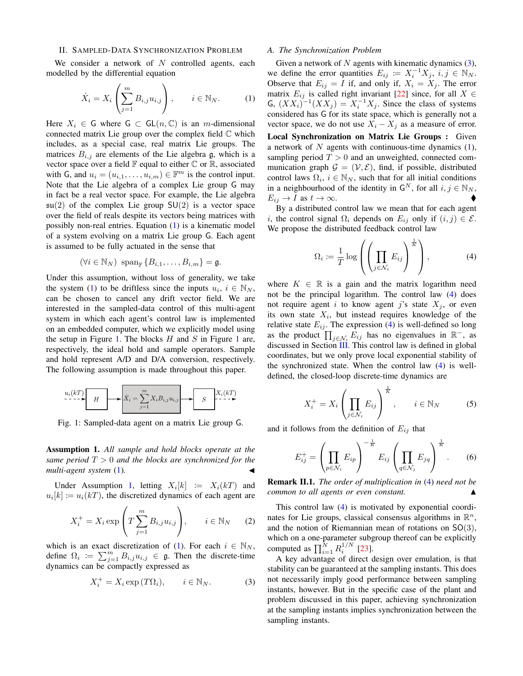### <span id="page-1-7"></span>II. SAMPLED-DATA SYNCHRONIZATION PROBLEM

We consider a network of  $N$  controlled agents, each modelled by the differential equation

<span id="page-1-0"></span>
$$
\dot{X}_i = X_i \left( \sum_{j=1}^m B_{i,j} u_{i,j} \right), \qquad i \in \mathbb{N}_N. \tag{1}
$$

Here  $X_i \in \mathsf{G}$  where  $\mathsf{G} \subset \mathsf{GL}(n,\mathbb{C})$  is an *m*-dimensional connected matrix Lie group over the complex field  $\mathbb C$  which includes, as a special case, real matrix Lie groups. The matrices  $B_{i,j}$  are elements of the Lie algebra g, which is a vector space over a field  $\mathbb F$  equal to either  $\mathbb C$  or  $\mathbb R$ , associated with G, and  $u_i = (u_{i,1}, \ldots, u_{i,m}) \in \mathbb{F}^m$  is the control input. Note that the Lie algebra of a complex Lie group G may in fact be a real vector space. For example, the Lie algebra  $\mathfrak{su}(2)$  of the complex Lie group  $SU(2)$  is a vector space over the field of reals despite its vectors being matrices with possibly non-real entries. Equation [\(1\)](#page-1-0) is a kinematic model of a system evolving on a matrix Lie group G. Each agent is assumed to be fully actuated in the sense that

$$
(\forall i \in \mathbb{N}_N) \ \text{span}_{\mathbb{F}} \left\{ B_{i,1}, \dots, B_{i,m} \right\} = \mathfrak{g}.
$$

Under this assumption, without loss of generality, we take the system [\(1\)](#page-1-0) to be driftless since the inputs  $u_i, i \in \mathbb{N}_N$ , can be chosen to cancel any drift vector field. We are interested in the sampled-data control of this multi-agent system in which each agent's control law is implemented on an embedded computer, which we explicitly model using the setup in Figure [1.](#page-1-1) The blocks  $H$  and  $S$  in Figure [1](#page-1-1) are, respectively, the ideal hold and sample operators. Sample and hold represent A/D and D/A conversion, respectively. The following assumption is made throughout this paper.

<span id="page-1-1"></span>

Fig. 1: Sampled-data agent on a matrix Lie group G.

<span id="page-1-2"></span>Assumption 1. *All sample and hold blocks operate at the same period* T > 0 *and the blocks are synchronized for the multi-agent system* [\(1\)](#page-1-0).

Under Assumption [1,](#page-1-2) letting  $X_i[k] := X_i(kT)$  and  $u_i[k] \coloneqq u_i(kT)$ , the discretized dynamics of each agent are

$$
X_i^+ = X_i \exp\left(T \sum_{j=1}^m B_{i,j} u_{i,j}\right), \qquad i \in \mathbb{N}_N \qquad (2)
$$

which is an exact discretization of [\(1\)](#page-1-0). For each  $i \in \mathbb{N}_N$ , define  $\Omega_i := \sum_{j=1}^m B_{i,j} u_{i,j} \in \mathfrak{g}$ . Then the discrete-time dynamics can be compactly expressed as

<span id="page-1-3"></span>
$$
X_i^+ = X_i \exp(T\Omega_i), \qquad i \in \mathbb{N}_N. \tag{3}
$$

### *A. The Synchronization Problem*

Given a network of  $N$  agents with kinematic dynamics  $(3)$ , we define the error quantities  $E_{ij} := X_i^{-1} X_j, i, j \in \mathbb{N}_N$ . Observe that  $E_{ij} = I$  if, and only if,  $X_i = X_j$ . The error matrix  $E_{ij}$  is called right invariant [\[22\]](#page-5-21) since, for all  $X \in$ G,  $(XX_i)^{-1}(XX_j) = X_i^{-1}X_j$ . Since the class of systems considered has G for its state space, which is generally not a vector space, we do not use  $X_i - X_j$  as a measure of error.

Local Synchronization on Matrix Lie Groups : Given a network of  $N$  agents with continuous-time dynamics  $(1)$ , sampling period  $T > 0$  and an unweighted, connected communication graph  $\mathcal{G} = (\mathcal{V}, \mathcal{E})$ , find, if possible, distributed control laws  $\Omega_i$ ,  $i \in \mathbb{N}_N$ , such that for all initial conditions in a neighbourhood of the identity in  $G^N$ , for all  $i, j \in \mathbb{N}_N$ ,  $E_{ij} \to I$  as  $t \to \infty$ .

By a distributed control law we mean that for each agent i, the control signal  $\Omega_i$  depends on  $E_{ij}$  only if  $(i, j) \in \mathcal{E}$ . We propose the distributed feedback control law

<span id="page-1-4"></span>
$$
\Omega_i := \frac{1}{T} \log \left( \left( \prod_{j \in \mathcal{N}_i} E_{ij} \right)^{\frac{1}{K}} \right), \tag{4}
$$

where  $K \in \mathbb{R}$  is a gain and the matrix logarithm need not be the principal logarithm. The control law [\(4\)](#page-1-4) does not require agent i to know agent j's state  $X_j$ , or even its own state  $X_i$ , but instead requires knowledge of the relative state  $E_{ij}$ . The expression [\(4\)](#page-1-4) is well-defined so long as the product  $\prod_{j \in \mathcal{N}_i} \hat{E}_{ij}$  has no eigenvalues in  $\mathbb{R}^-$ , as discussed in Section [III.](#page-2-0) This control law is defined in global coordinates, but we only prove local exponential stability of the synchronized state. When the control law [\(4\)](#page-1-4) is welldefined, the closed-loop discrete-time dynamics are

<span id="page-1-6"></span>
$$
X_i^+ = X_i \left( \prod_{j \in \mathcal{N}_i} E_{ij} \right)^{\frac{1}{K}}, \qquad i \in \mathbb{N}_N \tag{5}
$$

and it follows from the definition of  $E_{ij}$  that

<span id="page-1-5"></span>
$$
E_{ij}^{+} = \left(\prod_{p \in \mathcal{N}_i} E_{ip}\right)^{-\frac{1}{K}} E_{ij} \left(\prod_{q \in \mathcal{N}_j} E_{jq}\right)^{\frac{1}{K}}.
$$
 (6)

Remark II.1. *The order of multiplication in* [\(4\)](#page-1-4) *need not be common to all agents or even constant.* 

This control law [\(4\)](#page-1-4) is motivated by exponential coordinates for Lie groups, classical consensus algorithms in  $\mathbb{R}^n$ , and the notion of Riemannian mean of rotations on  $SO(3)$ , which on a one-parameter subgroup thereof can be explicitly computed as  $\prod_{i=1}^{N} R_i^{1/N}$  [\[23\]](#page-5-22).

A key advantage of direct design over emulation, is that stability can be guaranteed at the sampling instants. This does not necessarily imply good performance between sampling instants, however. But in the specific case of the plant and problem discussed in this paper, achieving synchronization at the sampling instants implies synchronization between the sampling instants.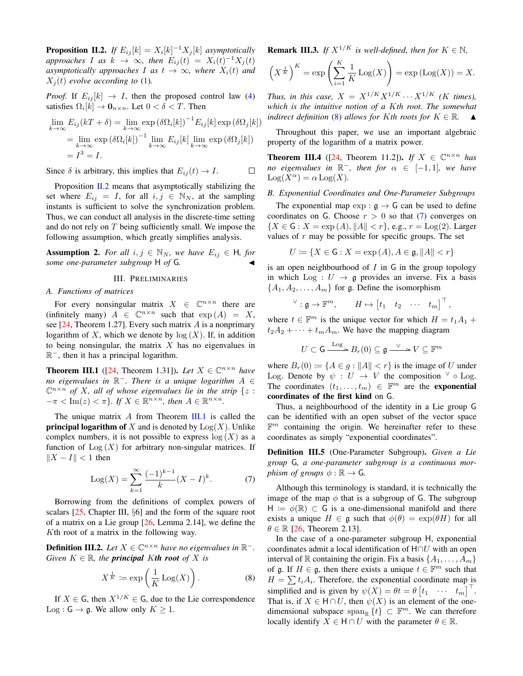<span id="page-2-8"></span><span id="page-2-1"></span>**Proposition II.2.** If  $E_{ij}[k] = X_i[k]^{-1}X_j[k]$  asymptotically *approaches I as*  $k \to \infty$ *, then*  $E_{ij}(t) = X_i(t)^{-1}X_j(t)$ *asymptotically approaches I as*  $t \rightarrow \infty$ *, where*  $X_i(t)$  *and*  $X_i(t)$  *evolve according to* [\(1\)](#page-1-0).

*Proof.* If  $E_{ij}[k] \rightarrow I$ , then the proposed control law [\(4\)](#page-1-4) satisfies  $\Omega_i[k] \to \mathbf{0}_{n \times n}$ . Let  $0 < \delta < T$ . Then

$$
\lim_{k \to \infty} E_{ij}(kT + \delta) = \lim_{k \to \infty} \exp(\delta \Omega_i[k])^{-1} E_{ij}[k] \exp(\delta \Omega_j[k])
$$
  
= 
$$
\lim_{k \to \infty} \exp(\delta \Omega_i[k])^{-1} \lim_{k \to \infty} E_{ij}[k] \lim_{k \to \infty} \exp(\delta \Omega_j[k])
$$
  
= 
$$
I^3 = I.
$$

Since  $\delta$  is arbitrary, this implies that  $E_{ij}(t) \rightarrow I$ .  $\Box$ 

Proposition [II.2](#page-2-1) means that asymptotically stabilizing the set where  $E_{ij} = I$ , for all  $i, j \in \mathbb{N}_N$ , at the sampling instants is sufficient to solve the synchronization problem. Thus, we can conduct all analysis in the discrete-time setting and do not rely on T being sufficiently small. We impose the following assumption, which greatly simplifies analysis.

<span id="page-2-5"></span>**Assumption 2.** *For all*  $i, j \in \mathbb{N}_N$ *, we have*  $E_{ij} \in H$ *, for some one-parameter subgroup* H *of* G.

#### III. PRELIMINARIES

#### <span id="page-2-0"></span>*A. Functions of matrices*

For every nonsingular matrix  $X \in \mathbb{C}^{n \times n}$  there are (infinitely many)  $A \in \mathbb{C}^{n \times n}$  such that  $\exp(A) = X$ , see  $[24,$  Theorem 1.27]. Every such matrix A is a nonprimary logarithm of X, which we denote by  $log(X)$ . If, in addition to being nonsingular, the matrix  $X$  has no eigenvalues in R <sup>−</sup>, then it has a principal logarithm.

<span id="page-2-2"></span>**Theorem III.1** ([\[24,](#page-5-23) Theorem 1.31]). Let  $X \in \mathbb{C}^{n \times n}$  have *no eigenvalues in* R <sup>−</sup>*. There is a unique logarithm* A ∈  $\mathbb{C}^{n \times n}$  of X, all of whose eigenvalues lie in the strip  $\{z :$  $-\pi < \text{Im}(z) < \pi$ *}. If*  $X \in \mathbb{R}^{n \times n}$ , then  $A \in \mathbb{R}^{n \times n}$ .

The unique matrix A from Theorem [III.1](#page-2-2) is called the **principal logarithm of** X and is denoted by  $Log(X)$ . Unlike complex numbers, it is not possible to express  $log(X)$  as a function of  $Log(X)$  for arbitrary non-singular matrices. If  $||X - I|| < 1$  then

<span id="page-2-4"></span>
$$
Log(X) = \sum_{k=1}^{\infty} \frac{(-1)^{k-1}}{k} (X - I)^k.
$$
 (7)

Borrowing from the definitions of complex powers of scalars [\[25,](#page-5-24) Chapter III, §6] and the form of the square root of a matrix on a Lie group [\[26,](#page-5-25) Lemma 2.14], we define the Kth root of a matrix in the following way.

<span id="page-2-7"></span>**Definition III.2.** Let  $X \in \mathbb{C}^{n \times n}$  have no eigenvalues in  $\mathbb{R}^-$ . *Given*  $K \in \mathbb{R}$ *, the principal Kth root of* X *is* 

<span id="page-2-3"></span>
$$
X^{\frac{1}{K}} \coloneqq \exp\left(\frac{1}{K}\operatorname{Log}(X)\right). \tag{8}
$$

If  $X \in \mathsf{G}$ , then  $X^{1/K} \in \mathsf{G}$ , due to the Lie correspondence Log :  $G \rightarrow \mathfrak{g}$ . We allow only  $K \geq 1$ .

**Remark III.3.** *If*  $X^{1/K}$  *is well-defined, then for*  $K \in \mathbb{N}$ *,* 

$$
\left(X^{\frac{1}{K}}\right)^K = \exp\left(\sum_{i=1}^K \frac{1}{K} \operatorname{Log}(X)\right) = \exp\left(\operatorname{Log}(X)\right) = X.
$$

*Thus, in this case,*  $X = X^{1/K} X^{1/K} \cdots X^{1/K}$  *(K times), which is the intuitive notion of a* K*th root. The somewhat indirect definition* [\(8\)](#page-2-3) *allows for* K*th roots for*  $K \in \mathbb{R}$ .  $\blacktriangle$ 

Throughout this paper, we use an important algebraic property of the logarithm of a matrix power.

**Theorem III.4** ([\[24,](#page-5-23) Theorem 11.2]). *If*  $X \in \mathbb{C}^{n \times n}$  *has no eigenvalues in*  $\mathbb{R}^-$ *, then for*  $\alpha \in [-1,1]$ *, we have*  $\text{Log}(X^{\alpha}) = \alpha \text{Log}(X)$ .

#### <span id="page-2-6"></span>*B. Exponential Coordinates and One-Parameter Subgroups*

The exponential map  $\exp : \mathfrak{g} \to \mathsf{G}$  can be used to define coordinates on G. Choose  $r > 0$  so that [\(7\)](#page-2-4) converges on  ${X \in G : X = \exp(A), ||A|| < r}$ , e.g.,  $r = \text{Log}(2)$ . Larger values of  $r$  may be possible for specific groups. The set

$$
U \coloneqq \{ X \in \mathsf{G} : X = \exp\left(A\right), A \in \mathfrak{g}, \|A\| < r \}
$$

is an open neighbourhood of  $I$  in  $G$  in the group topology in which Log :  $U \rightarrow \mathfrak{g}$  provides an inverse. Fix a basis  ${A_1, A_2, \ldots, A_m}$  for g. Define the isomorphism

$$
\vee : \mathfrak{g} \to \mathbb{F}^m, \qquad H \mapsto \begin{bmatrix} t_1 & t_2 & \cdots & t_m \end{bmatrix}^\top,
$$

where  $t \in \mathbb{F}^m$  is the unique vector for which  $H = t_1 A_1 +$  $t_2A_2 + \cdots + t_mA_m$ . We have the mapping diagram

$$
U \subset \mathsf{G} \xrightarrow{\mathrm{Log}} B_r(0) \subseteq \mathfrak{g} \xrightarrow{\vee} V \subseteq \mathbb{F}^m
$$

where  $B_r(0) := \{A \in g : ||A|| < r\}$  is the image of U under Log. Denote by  $\psi : U \to V$  the composition  $\vee \circ$  Log. The coordinates  $(t_1, \ldots, t_m) \in \mathbb{F}^m$  are the **exponential** coordinates of the first kind on G.

Thus, a neighbourhood of the identity in a Lie group G can be identified with an open subset of the vector space  $\mathbb{F}^m$  containing the origin. We hereinafter refer to these coordinates as simply "exponential coordinates".

Definition III.5 (One-Parameter Subgroup). *Given a Lie group* G*, a one-parameter subgroup is a continuous morphism of groups*  $\phi : \mathbb{R} \to G$ .

Although this terminology is standard, it is technically the image of the map  $\phi$  that is a subgroup of G. The subgroup  $H := \phi(\mathbb{R}) \subset G$  is a one-dimensional manifold and there exists a unique  $H \in \mathfrak{g}$  such that  $\phi(\theta) = \exp(\theta H)$  for all  $\theta \in \mathbb{R}$  [\[26,](#page-5-25) Theorem 2.13].

In the case of a one-parameter subgroup H, exponential coordinates admit a local identification of  $H \cap U$  with an open interval of R containing the origin. Fix a basis  $\{A_1, \ldots, A_m\}$ of g. If  $H \in \mathfrak{g}$ , then there exists a unique  $t \in \mathbb{F}^m$  such that  $H = \sum t_i A_i$ . Therefore, the exponential coordinate map is simplified and is given by  $\psi(X) = \theta t = \theta \begin{bmatrix} t_1 & \cdots & t_m \end{bmatrix}^\top$ . That is, if  $X \in \mathsf{H} \cap U$ , then  $\psi(X)$  is an element of the onedimensional subspace span<sub>R</sub>  $\{t\}$  ⊂  $\mathbb{F}^m$ . We can therefore locally identify  $X \in H \cap U$  with the parameter  $\theta \in \mathbb{R}$ .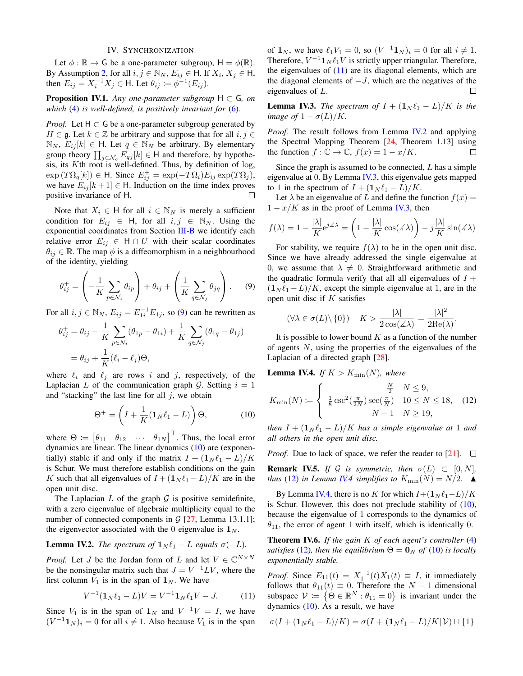#### IV. SYNCHRONIZATION

<span id="page-3-9"></span><span id="page-3-8"></span>Let  $\phi : \mathbb{R} \to G$  be a one-parameter subgroup,  $H = \phi(\mathbb{R})$ . By Assumption [2,](#page-2-5) for all  $i, j \in \mathbb{N}_N$ ,  $E_{ij} \in \mathsf{H}$ . If  $X_i, X_j \in \mathsf{H}$ , then  $E_{ij} = X_i^{-1} X_j \in \mathsf{H}$ . Let  $\theta_{ij} \coloneqq \phi^{-1}(E_{ij})$ .

**Proposition IV.1.** *Any one-parameter subgroup*  $H \subset G$ *, on which* [\(4\)](#page-1-4) *is well-defined, is positively invariant for* [\(6\)](#page-1-5)*.*

*Proof.* Let  $H \subset G$  be a one-parameter subgroup generated by  $H \in \mathfrak{g}$ . Let  $k \in \mathbb{Z}$  be arbitrary and suppose that for all  $i, j \in \mathbb{Z}$  $\mathbb{N}_N$ ,  $E_{ij}[k] \in \mathsf{H}$ . Let  $q \in \mathbb{N}_N$  be arbitrary. By elementary group theory  $\prod_{j \in \mathcal{N}_q} E_{qj}[k] \in \mathsf{H}$  and therefore, by hypothesis, its  $K$ th root is well-defined. Thus, by definition of  $log$ ,  $\exp(T\Omega_q[k]) \in \mathsf{H}$ . Since  $E_{ij}^+ = \exp(-T\Omega_i)E_{ij} \exp(T\Omega_j),$ we have  $E_{ij}[k+1] \in H$ . Induction on the time index proves positive invariance of H.  $\Box$ 

Note that  $X_i \in H$  for all  $i \in \mathbb{N}_N$  is merely a sufficient condition for  $E_{ij} \in H$ , for all  $i, j \in \mathbb{N}_N$ . Using the exponential coordinates from Section [III-B](#page-2-6) we identify each relative error  $E_{ij} \in H \cap U$  with their scalar coordinates  $\theta_{ij} \in \mathbb{R}$ . The map  $\phi$  is a diffeomorphism in a neighbourhood of the identity, yielding

<span id="page-3-0"></span>
$$
\theta_{ij}^{+} = \left(-\frac{1}{K} \sum_{p \in \mathcal{N}_i} \theta_{ip}\right) + \theta_{ij} + \left(\frac{1}{K} \sum_{q \in \mathcal{N}_j} \theta_{jq}\right). \tag{9}
$$

For all  $i, j \in \mathbb{N}_N$ ,  $E_{ij} = E_{1i}^{-1} E_{1j}$ , so [\(9\)](#page-3-0) can be rewritten as

$$
\theta_{ij}^+ = \theta_{ij} - \frac{1}{K} \sum_{p \in \mathcal{N}_i} (\theta_{1p} - \theta_{1i}) + \frac{1}{K} \sum_{q \in \mathcal{N}_j} (\theta_{1q} - \theta_{1j})
$$

$$
= \theta_{ij} + \frac{1}{K} (\ell_i - \ell_j) \Theta,
$$

where  $\ell_i$  and  $\ell_j$  are rows i and j, respectively, of the Laplacian L of the communication graph G. Setting  $i = 1$ and "stacking" the last line for all  $j$ , we obtain

<span id="page-3-1"></span>
$$
\Theta^+ = \left(I + \frac{1}{K}(\mathbf{1}_N \ell_1 - L)\right)\Theta,\tag{10}
$$

where  $\Theta \coloneqq \begin{bmatrix} \theta_{11} & \theta_{12} & \cdots & \theta_{1N} \end{bmatrix}^\top$ . Thus, the local error dynamics are linear. The linear dynamics [\(10\)](#page-3-1) are (exponentially) stable if and only if the matrix  $I + (1_N \ell_1 - L)/K$ is Schur. We must therefore establish conditions on the gain K such that all eigenvalues of  $I + (\mathbf{1}_N \ell_1 - L)/K$  are in the open unit disc.

The Laplacian  $L$  of the graph  $\mathcal G$  is positive semidefinite, with a zero eigenvalue of algebraic multiplicity equal to the number of connected components in  $G$  [\[27,](#page-5-26) Lemma 13.1.1]; the eigenvector associated with the 0 eigenvalue is  $\mathbf{1}_N$ .

# <span id="page-3-3"></span>**Lemma IV.2.** *The spectrum of*  $\mathbf{1}_N \ell_1 - L$  *equals*  $\sigma(-L)$ *.*

*Proof.* Let *J* be the Jordan form of *L* and let  $V \in \mathbb{C}^{N \times N}$ be the nonsingular matrix such that  $J = V^{-1}LV$ , where the first column  $V_1$  is in the span of  $\mathbf{1}_N$ . We have

<span id="page-3-2"></span>
$$
V^{-1}(\mathbf{1}_N \ell_1 - L)V = V^{-1} \mathbf{1}_N \ell_1 V - J. \tag{11}
$$

Since  $V_1$  is in the span of  $\mathbf{1}_N$  and  $V^{-1}V = I$ , we have  $(V^{-1}1_N)_i = 0$  for all  $i \neq 1$ . Also because  $V_1$  is in the span

of  $\mathbf{1}_N$ , we have  $\ell_1 V_1 = 0$ , so  $(V^{-1} \mathbf{1}_N)_i = 0$  for all  $i \neq 1$ . Therefore,  $V^{-1} \mathbf{1}_N \ell_1 V$  is strictly upper triangular. Therefore, the eigenvalues of  $(11)$  are its diagonal elements, which are the diagonal elements of  $-J$ , which are the negatives of the eigenvalues of L.  $\Box$ 

<span id="page-3-4"></span>**Lemma IV.3.** *The spectrum of*  $I + (\mathbf{1}_N \ell_1 - L)/K$  *is the image of*  $1 - \sigma(L)/K$ .

*Proof.* The result follows from Lemma [IV.2](#page-3-3) and applying the Spectral Mapping Theorem [\[24,](#page-5-23) Theorem 1.13] using the function  $f: \mathbb{C} \to \mathbb{C}$ ,  $f(x) = 1 - x/K$ .  $\Box$ 

Since the graph is assumed to be connected,  $L$  has a simple eigenvalue at 0. By Lemma [IV.3,](#page-3-4) this eigenvalue gets mapped to 1 in the spectrum of  $I + (1_N \ell_1 - L)/K$ .

Let  $\lambda$  be an eigenvalue of L and define the function  $f(x) =$  $1 - x/K$  as in the proof of Lemma [IV.3,](#page-3-4) then

$$
f(\lambda) = 1 - \frac{|\lambda|}{K} e^{j\angle \lambda} = \left(1 - \frac{|\lambda|}{K} \cos(\angle \lambda)\right) - j\frac{|\lambda|}{K} \sin(\angle \lambda)
$$

For stability, we require  $f(\lambda)$  to be in the open unit disc. Since we have already addressed the single eigenvalue at 0, we assume that  $\lambda \neq 0$ . Straightforward arithmetic and the quadratic formula verify that all all eigenvalues of  $I +$  $(1_N \ell_1 - L)/K$ , except the simple eigenvalue at 1, are in the open unit disc if  $K$  satisfies

$$
(\forall \lambda \in \sigma(L) \setminus \{0\}) \quad K > \frac{|\lambda|}{2 \cos(\measuredangle \lambda)} = \frac{|\lambda|^2}{2 \text{Re}(\lambda)}.
$$

It is possible to lower bound  $K$  as a function of the number of agents N, using the properties of the eigenvalues of the Laplacian of a directed graph [\[28\]](#page-5-27).

<span id="page-3-6"></span>**Lemma IV.4.** *If*  $K > K_{\min}(N)$ *, where* 

<span id="page-3-5"></span>
$$
K_{\min}(N) \coloneqq \begin{cases} \frac{N}{2} & N \le 9, \\ \frac{1}{8} \csc^2(\frac{\pi}{2N}) \sec(\frac{\pi}{N}) & 10 \le N \le 18, \\ N-1 & N \ge 19, \end{cases}
$$
(12)

*then*  $I + (1_N \ell_1 - L)/K$  *has a simple eigenvalue at* 1 *and all others in the open unit disc.*

*Proof.* Due to lack of space, we refer the reader to [\[21\]](#page-5-20).  $\square$ 

**Remark IV.5.** *If* G *is symmetric, then*  $\sigma(L) \subset [0, N]$ *, thus* [\(12\)](#page-3-5) *in Lemma [IV.4](#page-3-6) simplifies to*  $K_{\min}(N) = N/2$ .  $\blacktriangle$ 

By Lemma [IV.4,](#page-3-6) there is no K for which  $I+(1_N \ell_1-L)/K$ is Schur. However, this does not preclude stability of  $(10)$ , because the eigenvalue of 1 corresponds to the dynamics of  $\theta_{11}$ , the error of agent 1 with itself, which is identically 0.

<span id="page-3-7"></span>Theorem IV.6. *If the gain* K *of each agent's controller* [\(4\)](#page-1-4) *satisfies* [\(12\)](#page-3-5)*, then the equilibrium*  $\Theta = \mathbf{0}_N$  *of* (10*) is locally exponentially stable.*

*Proof.* Since  $E_{11}(t) = X_1^{-1}(t)X_1(t) \equiv I$ , it immediately follows that  $\theta_{11}(t) \equiv 0$ . Therefore the  $N-1$  dimensional subspace  $\mathcal{V} := \{ \Theta \in \mathbb{R}^N : \theta_{11} = 0 \}$  is invariant under the dynamics  $(10)$ . As a result, we have

$$
\sigma(I + (\mathbf{1}_N \ell_1 - L)/K) = \sigma(I + (\mathbf{1}_N \ell_1 - L)/K|V) \sqcup \{1\}
$$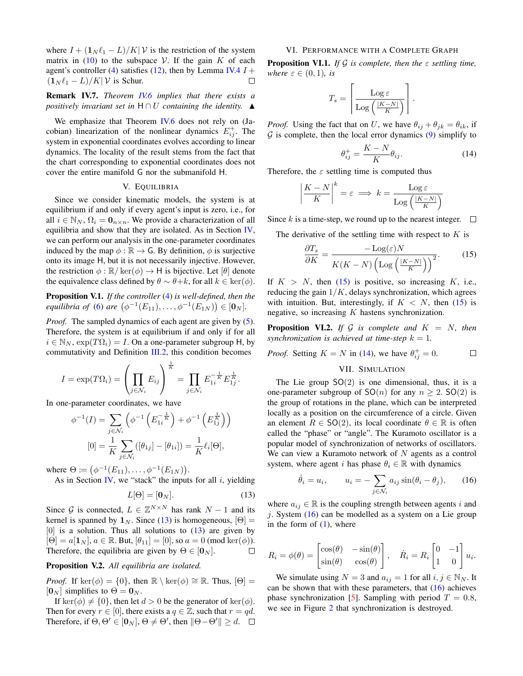<span id="page-4-4"></span>where  $I + (1_N \ell_1 - L)/K$  is the restriction of the system matrix in [\(10\)](#page-3-1) to the subspace V. If the gain  $K$  of each agent's controller [\(4\)](#page-1-4) satisfies [\(12\)](#page-3-5), then by Lemma [IV.4](#page-3-6)  $I$  +  $(1_N \ell_1 - L)/K$ | V is Schur. П

## Remark IV.7. *Theorem [IV.6](#page-3-7) implies that there exists a positively invariant set in*  $H \cap U$  *containing the identity.*  $\triangle$

We emphasize that Theorem [IV.6](#page-3-7) does not rely on (Jacobian) linearization of the nonlinear dynamics  $E_{ij}^+$ . The system in exponential coordinates evolves according to linear dynamics. The locality of the result stems from the fact that the chart corresponding to exponential coordinates does not cover the entire manifold G nor the submanifold H.

#### V. EQUILIBRIA

Since we consider kinematic models, the system is at equilibrium if and only if every agent's input is zero, i.e., for all  $i \in \mathbb{N}_N$ ,  $\Omega_i = \mathbf{0}_{n \times n}$ . We provide a characterization of all equilibria and show that they are isolated. As in Section [IV,](#page-3-8) we can perform our analysis in the one-parameter coordinates induced by the map  $\phi : \mathbb{R} \to \mathsf{G}$ . By definition,  $\phi$  is surjective onto its image H, but it is not necessarily injective. However, the restriction  $\phi : \mathbb{R}/\text{ker}(\phi) \to \mathsf{H}$  is bijective. Let  $[\theta]$  denote the equivalence class defined by  $\theta \sim \theta + k$ , for all  $k \in \text{ker}(\phi)$ .

Proposition V.1. *If the controller* [\(4\)](#page-1-4) *is well-defined, then the equilibria of* [\(6\)](#page-1-5) *are*  $(\phi^{-1}(E_{11}), \ldots, \phi^{-1}(E_{1N})) \in [0_N]$ .

*Proof.* The sampled dynamics of each agent are given by [\(5\)](#page-1-6). Therefore, the system is at equilibrium if and only if for all  $i \in \mathbb{N}_N$ ,  $\exp(T\Omega_i) = I$ . On a one-parameter subgroup H, by commutativity and Definition [III.2,](#page-2-7) this condition becomes

$$
I = \exp(T\Omega_i) = \left(\prod_{j \in \mathcal{N}_i} E_{ij}\right)^{\frac{1}{K}} = \prod_{j \in \mathcal{N}_i} E_{1i}^{-\frac{1}{K}} E_{1j}^{\frac{1}{K}}.
$$

In one-parameter coordinates, we have

$$
\phi^{-1}(I) = \sum_{j \in \mathcal{N}_i} \left( \phi^{-1} \left( E_{1i}^{-\frac{1}{K}} \right) + \phi^{-1} \left( E_{1j}^{\frac{1}{K}} \right) \right)
$$

$$
[0] = \frac{1}{K} \sum_{j \in \mathcal{N}_i} \left( [\theta_{1j}] - [\theta_{1i}] \right) = \frac{1}{K} \ell_i[\Theta],
$$

where  $\Theta := (\phi^{-1}(E_{11}), \dots, \phi^{-1}(E_{1N})).$ 

As in Section [IV,](#page-3-8) we "stack" the inputs for all  $i$ , yielding

<span id="page-4-0"></span>
$$
L[\Theta] = [\mathbf{0}_N]. \tag{13}
$$

Since G is connected,  $L \in \mathbb{Z}^{N \times N}$  has rank  $N - 1$  and its kernel is spanned by  $1_N$ . Since [\(13\)](#page-4-0) is homogeneous,  $[\Theta] =$  $[0]$  is a solution. Thus all solutions to  $(13)$  are given by  $[\Theta] = a[1_N], a \in \mathbb{R}$ . But,  $[\theta_{11}] = [0]$ , so  $a = 0$  (mod ker $(\phi)$ ). Therefore, the equilibria are given by  $\Theta \in [0_N]$ . П

# Proposition V.2. *All equilibria are isolated.*

*Proof.* If ker( $\phi$ ) = {0}, then  $\mathbb{R} \setminus \text{ker}(\phi) \cong \mathbb{R}$ . Thus,  $[\Theta] =$  $[0_N]$  simplifies to  $\Theta = 0_N$ .

If ker( $\phi$ )  $\neq$  {0}, then let  $d > 0$  be the generator of ker( $\phi$ ). Then for every  $r \in [0]$ , there exists a  $q \in \mathbb{Z}$ , such that  $r = qd$ . Therefore, if  $\Theta$ ,  $\Theta' \in [\mathbf{0}_N]$ ,  $\Theta \neq \Theta'$ , then  $\|\Theta - \Theta'\| \geq d$ .

#### VI. PERFORMANCE WITH A COMPLETE GRAPH

Proposition VI.1. *If* G *is complete, then the* ε *settling time, where*  $\varepsilon \in (0,1)$ *, is* 

$$
T_s = \left\lceil \frac{\text{Log } \varepsilon}{\text{Log} \left( \frac{|K - N|}{K} \right)} \right\rceil.
$$

*Proof.* Using the fact that on U, we have  $\theta_{ij} + \theta_{jk} = \theta_{ik}$ , if  $G$  is complete, then the local error dynamics  $(9)$  simplify to

<span id="page-4-2"></span>
$$
\theta_{ij}^{+} = \frac{K - N}{K} \theta_{ij}.
$$
 (14)

Therefore, the  $\varepsilon$  settling time is computed thus

$$
\left|\frac{K-N}{K}\right|^k = \varepsilon \implies k = \frac{\text{Log }\varepsilon}{\text{Log }\left(\frac{|K-N|}{K}\right)}
$$

Since k is a time-step, we round up to the nearest integer.  $\Box$ 

The derivative of the settling time with respect to  $K$  is

<span id="page-4-1"></span>
$$
\frac{\partial T_s}{\partial K} = \frac{-\text{Log}(\varepsilon)N}{K(K - N)\left(\text{Log}\left(\frac{|K - N|}{K}\right)\right)^2}.\tag{15}
$$

If  $K > N$ , then [\(15\)](#page-4-1) is positive, so increasing K, i.e., reducing the gain  $1/K$ , delays synchronization, which agrees with intuition. But, interestingly, if  $K < N$ , then [\(15\)](#page-4-1) is negative, so increasing  $K$  hastens synchronization.

**Proposition VI.2.** *If*  $G$  *is complete and*  $K = N$ *, then synchronization is achieved at time-step*  $k = 1$ *.* 

*Proof.* Setting  $K = N$  in [\(14\)](#page-4-2), we have  $\theta_{ij}^+ = 0$ .  $\Box$ 

VII. SIMULATION

The Lie group  $SO(2)$  is one dimensional, thus, it is a one-parameter subgroup of  $SO(n)$  for any  $n > 2$ .  $SO(2)$  is the group of rotations in the plane, which can be interpreted locally as a position on the circumference of a circle. Given an element  $R \in SO(2)$ , its local coordinate  $\theta \in \mathbb{R}$  is often called the "phase" or "angle". The Kuramoto oscillator is a popular model of synchronization of networks of oscillators. We can view a Kuramoto network of  $N$  agents as a control system, where agent i has phase  $\theta_i \in \mathbb{R}$  with dynamics

<span id="page-4-3"></span>
$$
\dot{\theta}_i = u_i, \qquad u_i = -\sum_{j \in \mathcal{N}_i} a_{ij} \sin(\theta_i - \theta_j), \qquad (16)
$$

where  $a_{ij} \in \mathbb{R}$  is the coupling strength between agents i and j. System  $(16)$  can be modelled as a system on a Lie group in the form of  $(1)$ , where

$$
R_i = \phi(\theta) = \begin{bmatrix} \cos(\theta) & -\sin(\theta) \\ \sin(\theta) & \cos(\theta) \end{bmatrix}, \quad \dot{R}_i = R_i \begin{bmatrix} 0 & -1 \\ 1 & 0 \end{bmatrix} u_i.
$$

We simulate using  $N = 3$  and  $a_{ij} = 1$  for all  $i, j \in \mathbb{N}_N$ . It can be shown that with these parameters, that  $(16)$  achieves phase synchronization [\[5\]](#page-5-4). Sampling with period  $T = 0.8$ , we see in Figure [2](#page-5-28) that synchronization is destroyed.